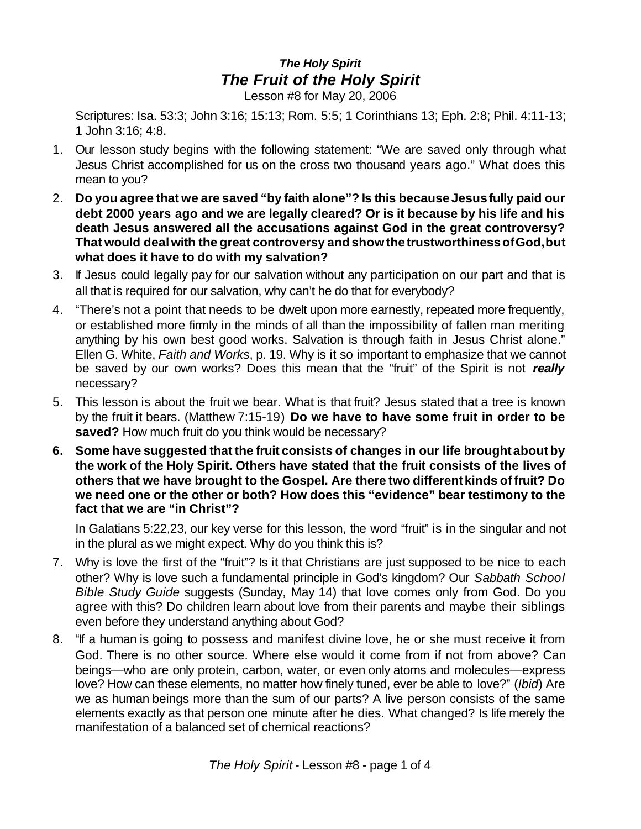## *The Holy Spirit The Fruit of the Holy Spirit*

Lesson #8 for May 20, 2006

Scriptures: Isa. 53:3; John 3:16; 15:13; Rom. 5:5; 1 Corinthians 13; Eph. 2:8; Phil. 4:11-13; 1 John 3:16; 4:8.

- 1. Our lesson study begins with the following statement: "We are saved only through what Jesus Christ accomplished for us on the cross two thousand years ago." What does this mean to you?
- 2. **Do you agree that we are saved "by faith alone"? Is this becauseJesusfully paid our debt 2000 years ago and we are legally cleared? Or is it because by his life and his death Jesus answered all the accusations against God in the great controversy? That would dealwith the great controversy andshowthetrustworthinessofGod,but what does it have to do with my salvation?**
- 3. If Jesus could legally pay for our salvation without any participation on our part and that is all that is required for our salvation, why can't he do that for everybody?
- 4. "There's not a point that needs to be dwelt upon more earnestly, repeated more frequently, or established more firmly in the minds of all than the impossibility of fallen man meriting anything by his own best good works. Salvation is through faith in Jesus Christ alone." Ellen G. White, *Faith and Works*, p. 19. Why is it so important to emphasize that we cannot be saved by our own works? Does this mean that the "fruit" of the Spirit is not *really* necessary?
- 5. This lesson is about the fruit we bear. What is that fruit? Jesus stated that a tree is known by the fruit it bears. (Matthew 7:15-19) **Do we have to have some fruit in order to be saved?** How much fruit do you think would be necessary?
- **6. Some have suggested that the fruit consists of changes in our life broughtaboutby the work of the Holy Spirit. Others have stated that the fruit consists of the lives of others that we have brought to the Gospel. Are there two differentkinds offruit? Do we need one or the other or both? How does this "evidence" bear testimony to the fact that we are "in Christ"?**

In Galatians 5:22,23, our key verse for this lesson, the word "fruit" is in the singular and not in the plural as we might expect. Why do you think this is?

- 7. Why is love the first of the "fruit"? Is it that Christians are just supposed to be nice to each other? Why is love such a fundamental principle in God's kingdom? Our *Sabbath School Bible Study Guide* suggests (Sunday, May 14) that love comes only from God. Do you agree with this? Do children learn about love from their parents and maybe their siblings even before they understand anything about God?
- 8. "If a human is going to possess and manifest divine love, he or she must receive it from God. There is no other source. Where else would it come from if not from above? Can beings—who are only protein, carbon, water, or even only atoms and molecules—express love? How can these elements, no matter how finely tuned, ever be able to love?" (*Ibid*) Are we as human beings more than the sum of our parts? A live person consists of the same elements exactly as that person one minute after he dies. What changed? Is life merely the manifestation of a balanced set of chemical reactions?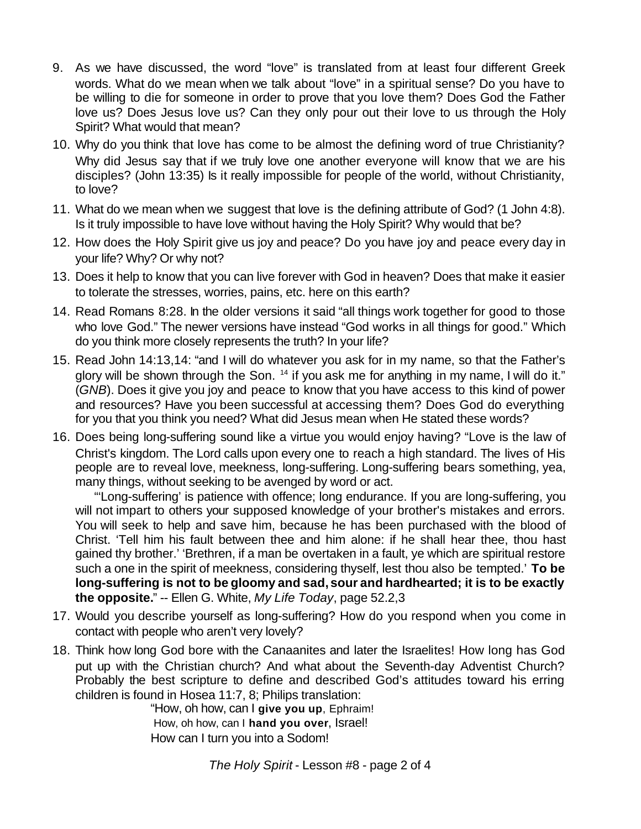- 9. As we have discussed, the word "love" is translated from at least four different Greek words. What do we mean when we talk about "love" in a spiritual sense? Do you have to be willing to die for someone in order to prove that you love them? Does God the Father love us? Does Jesus love us? Can they only pour out their love to us through the Holy Spirit? What would that mean?
- 10. Why do you think that love has come to be almost the defining word of true Christianity? Why did Jesus say that if we truly love one another everyone will know that we are his disciples? (John 13:35) Is it really impossible for people of the world, without Christianity, to love?
- 11. What do we mean when we suggest that love is the defining attribute of God? (1 John 4:8). Is it truly impossible to have love without having the Holy Spirit? Why would that be?
- 12. How does the Holy Spirit give us joy and peace? Do you have joy and peace every day in your life? Why? Or why not?
- 13. Does it help to know that you can live forever with God in heaven? Does that make it easier to tolerate the stresses, worries, pains, etc. here on this earth?
- 14. Read Romans 8:28. In the older versions it said "all things work together for good to those who love God." The newer versions have instead "God works in all things for good." Which do you think more closely represents the truth? In your life?
- 15. Read John 14:13,14: "and I will do whatever you ask for in my name, so that the Father's glory will be shown through the Son. <sup>14</sup> if you ask me for anything in my name, I will do it." (*GNB*). Does it give you joy and peace to know that you have access to this kind of power and resources? Have you been successful at accessing them? Does God do everything for you that you think you need? What did Jesus mean when He stated these words?
- 16. Does being long-suffering sound like a virtue you would enjoy having? "Love is the law of Christ's kingdom. The Lord calls upon every one to reach a high standard. The lives of His people are to reveal love, meekness, long-suffering. Long-suffering bears something, yea, many things, without seeking to be avenged by word or act.

 "'Long-suffering' is patience with offence; long endurance. If you are long-suffering, you will not impart to others your supposed knowledge of your brother's mistakes and errors. You will seek to help and save him, because he has been purchased with the blood of Christ. 'Tell him his fault between thee and him alone: if he shall hear thee, thou hast gained thy brother.' 'Brethren, if a man be overtaken in a fault, ye which are spiritual restore such a one in the spirit of meekness, considering thyself, lest thou also be tempted.' **To be long-suffering is not to be gloomy and sad, sour and hardhearted; it is to be exactly the opposite.**" -- Ellen G. White, *My Life Today*, page 52.2,3

- 17. Would you describe yourself as long-suffering? How do you respond when you come in contact with people who aren't very lovely?
- 18. Think how long God bore with the Canaanites and later the Israelites! How long has God put up with the Christian church? And what about the Seventh-day Adventist Church? Probably the best scripture to define and described God's attitudes toward his erring children is found in Hosea 11:7, 8; Philips translation:

"How, oh how, can I **give you up**, Ephraim! How, oh how, can I **hand you over**, Israel! How can I turn you into a Sodom!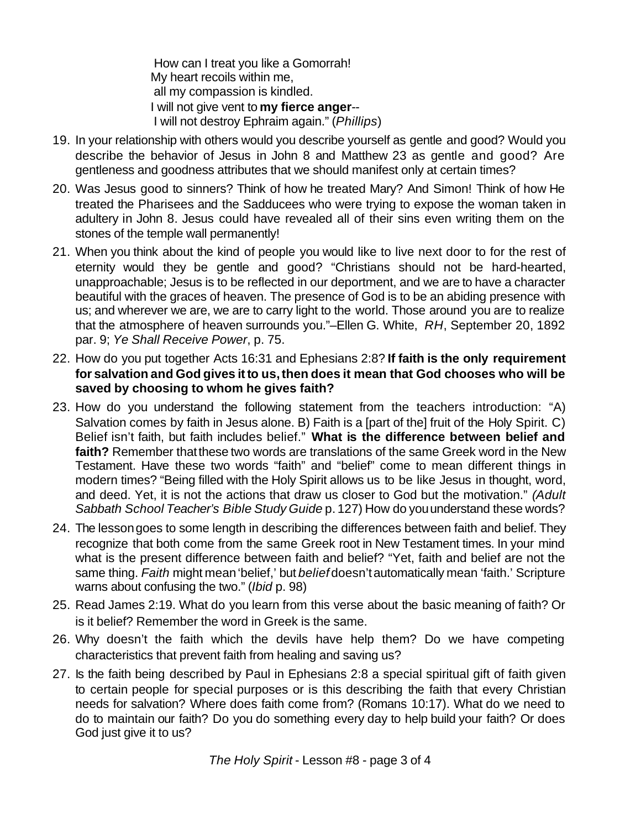How can I treat you like a Gomorrah! My heart recoils within me, all my compassion is kindled. I will not give vent to **my fierce anger**-- I will not destroy Ephraim again." (*Phillips*)

- 19. In your relationship with others would you describe yourself as gentle and good? Would you describe the behavior of Jesus in John 8 and Matthew 23 as gentle and good? Are gentleness and goodness attributes that we should manifest only at certain times?
- 20. Was Jesus good to sinners? Think of how he treated Mary? And Simon! Think of how He treated the Pharisees and the Sadducees who were trying to expose the woman taken in adultery in John 8. Jesus could have revealed all of their sins even writing them on the stones of the temple wall permanently!
- 21. When you think about the kind of people you would like to live next door to for the rest of eternity would they be gentle and good? "Christians should not be hard-hearted, unapproachable; Jesus is to be reflected in our deportment, and we are to have a character beautiful with the graces of heaven. The presence of God is to be an abiding presence with us; and wherever we are, we are to carry light to the world. Those around you are to realize that the atmosphere of heaven surrounds you."–Ellen G. White, *RH*, September 20, 1892 par. 9; *Ye Shall Receive Power*, p. 75.
- 22. How do you put together Acts 16:31 and Ephesians 2:8? **If faith is the only requirement for salvation and God gives itto us,then does it mean that God chooses who will be saved by choosing to whom he gives faith?**
- 23. How do you understand the following statement from the teachers introduction: "A) Salvation comes by faith in Jesus alone. B) Faith is a [part of the] fruit of the Holy Spirit. C) Belief isn't faith, but faith includes belief." **What is the difference between belief and faith?** Remember thatthese two words are translations of the same Greek word in the New Testament. Have these two words "faith" and "belief" come to mean different things in modern times? "Being filled with the Holy Spirit allows us to be like Jesus in thought, word, and deed. Yet, it is not the actions that draw us closer to God but the motivation." *(Adult Sabbath School Teacher's Bible Study Guide* p. 127) How do youunderstand these words?
- 24. The lessongoes to some length in describing the differences between faith and belief. They recognize that both come from the same Greek root in New Testament times. In your mind what is the present difference between faith and belief? "Yet, faith and belief are not the same thing. *Faith* might mean'belief,' but *belief* doesn'tautomatically mean 'faith.' Scripture warns about confusing the two." (*Ibid* p. 98)
- 25. Read James 2:19. What do you learn from this verse about the basic meaning of faith? Or is it belief? Remember the word in Greek is the same.
- 26. Why doesn't the faith which the devils have help them? Do we have competing characteristics that prevent faith from healing and saving us?
- 27. Is the faith being described by Paul in Ephesians 2:8 a special spiritual gift of faith given to certain people for special purposes or is this describing the faith that every Christian needs for salvation? Where does faith come from? (Romans 10:17). What do we need to do to maintain our faith? Do you do something every day to help build your faith? Or does God just give it to us?